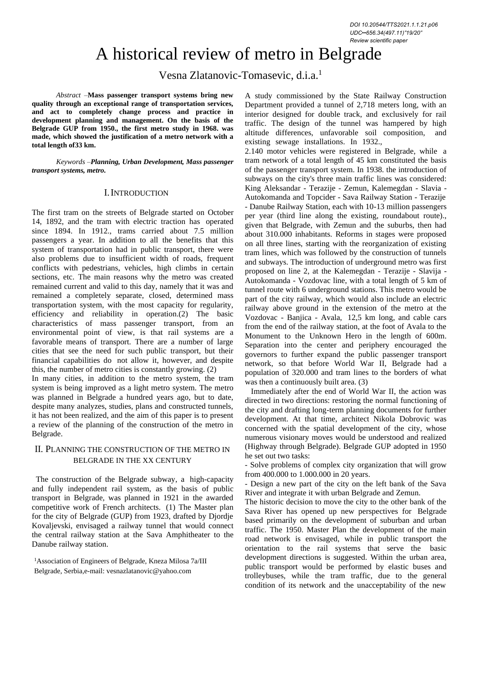# A historical review of metro in Belgrade

Vesna Zlatanovic-Tomasevic, d.i.a.<sup>1</sup>

*Abstract –***Mass passenger transport systems bring new quality through an exceptional range of transportation services, and act to completely change process and practice in development planning and management. On the basis of the Belgrade GUP from 1950., the first metro study in 1968. was made, which showed the justification of a metro network with a total length of33 km.**

*Keywords –Planning, Urban Development, Mass passenger transport systems, metro.*

## I.INTRODUCTION

The first tram on the streets of Belgrade started on October 14, 1892, and the tram with electric traction has operated since 1894. In 1912., trams carried about 7.5 million passengers a year. In addition to all the benefits that this system of transportation had in public transport, there were also problems due to insufficient width of roads, frequent conflicts with pedestrians, vehicles, high climbs in certain sections, etc. The main reasons why the metro was created remained current and valid to this day, namely that it was and remained a completely separate, closed, determined mass transportation system, with the most capacity for regularity, efficiency and reliability in operation.(2) The basic characteristics of mass passenger transport, from an environmental point of view, is that rail systems are a favorable means of transport. There are a number of large cities that see the need for such public transport, but their financial capabilities do not allow it, however, and despite this, the number of metro cities is constantly growing. (2) In many cities, in addition to the metro system, the tram

system is being improved as a light metro system. The metro was planned in Belgrade a hundred years ago, but to date, despite many analyzes, studies, plans and constructed tunnels, it has not been realized, and the aim of this paper is to present a review of the planning of the construction of the metro in Belgrade.

# II. PLANNING THE CONSTRUCTION OF THE METRO IN BELGRADE IN THE XX CENTURY

The construction of the Belgrade subway, a high-capacity and fully independent rail system, as the basis of public transport in Belgrade, was planned in 1921 in the awarded competitive work of French architects. (1) The Master plan for the city of Belgrade (GUP) from 1923, drafted by Djordje Kovaljevski, envisaged a railway tunnel that would connect the central railway station at the Sava Amphitheater to the Danube railway station.

<sup>1</sup>Association of Engineers of Belgrade, Kneza Milosa 7a/III Belgrade, Serbia,e-mail[: vesnazlatanovic@yahoo.com](mailto:vesnazlatanovic@yahoo.com)

A study commissioned by the State Railway Construction Department provided a tunnel of 2,718 meters long, with an interior designed for double track, and exclusively for rail traffic. The design of the tunnel was hampered by high altitude differences, unfavorable soil composition, and existing sewage installations. In 1932.,

2.140 motor vehicles were registered in Belgrade, while a tram network of a total length of 45 km constituted the basis of the passenger transport system. In 1938. the introduction of subways on the city's three main traffic lines was considered: King Aleksandar - Terazije - Zemun, Kalemegdan - Slavia - Autokomanda and Topcider - Sava Railway Station - Terazije - Danube Railway Station, each with 10-13 million passengers per year (third line along the existing, roundabout route)., given that Belgrade, with Zemun and the suburbs, then had about 310.000 inhabitants. Reforms in stages were proposed on all three lines, starting with the reorganization of existing tram lines, which was followed by the construction of tunnels and subways. The introduction of underground metro was first proposed on line 2, at the Kalemegdan - Terazije - Slavija - Autokomanda - Vozdovac line, with a total length of 5 km of tunnel route with 6 underground stations. This metro would be part of the city railway, which would also include an electric railway above ground in the extension of the metro at the Vozdovac - Banjica - Avala, 12,5 km long, and cable cars from the end of the railway station, at the foot of Avala to the Monument to the Unknown Hero in the length of 600m. Separation into the center and periphery encouraged the governors to further expand the public passenger transport network, so that before World War II, Belgrade had a population of 320.000 and tram lines to the borders of what was then a continuously built area. (3)

Immediately after the end of World War II, the action was directed in two directions: restoring the normal functioning of the city and drafting long-term planning documents for further development. At that time, architect Nikola Dobrovic was concerned with the spatial development of the city, whose numerous visionary moves would be understood and realized (Highway through Belgrade). Belgrade GUP adopted in 1950 he set out two tasks:

- Solve problems of complex city organization that will grow from 400.000 to 1.000.000 in 20 years.

- Design a new part of the city on the left bank of the Sava River and integrate it with urban Belgrade and Zemun.

The historic decision to move the city to the other bank of the Sava River has opened up new perspectives for Belgrade based primarily on the development of suburban and urban traffic. The 1950. Master Plan the development of the main road network is envisaged, while in public transport the orientation to the rail systems that serve the basic development directions is suggested. Within the urban area, public transport would be performed by elastic buses and trolleybuses, while the tram traffic, due to the general condition of its network and the unacceptability of the new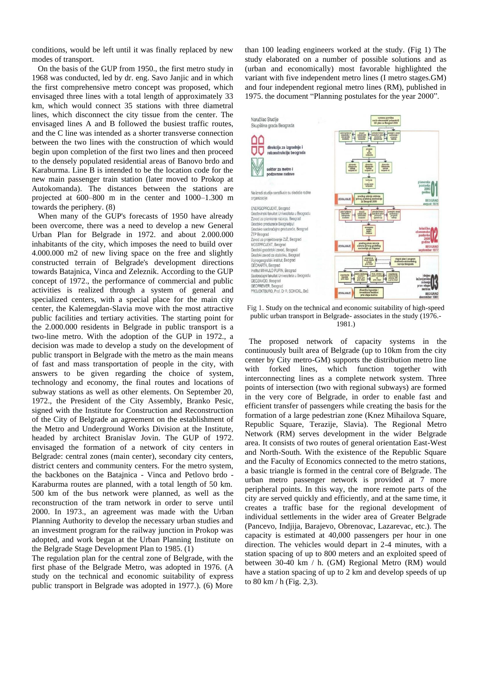conditions, would be left until it was finally replaced by new modes of transport.

On the basis of the GUP from 1950., the first metro study in 1968 was conducted, led by dr. eng. Savo Janjic and in which the first comprehensive metro concept was proposed, which envisaged three lines with a total length of approximately 33 km, which would connect 35 stations with three diametral lines, which disconnect the city tissue from the center. The envisaged lines A and B followed the busiest traffic routes, and the C line was intended as a shorter transverse connection between the two lines with the construction of which would begin upon completion of the first two lines and then proceed to the densely populated residential areas of Banovo brdo and Karaburma. Line B is intended to be the location code for the new main passenger train station (later moved to Prokop at Autokomanda). The distances between the stations are projected at 600–800 m in the center and 1000–1.300 m towards the periphery. (8)

When many of the GUP's forecasts of 1950 have already been overcome, there was a need to develop a new General Urban Plan for Belgrade in 1972. and about 2.000.000 inhabitants of the city, which imposes the need to build over 4.000.000 m2 of new living space on the free and slightly constructed terrain of Belgrade's development directions towards Batajnica, Vinca and Zeleznik. According to the GUP concept of 1972., the performance of commercial and public activities is realized through a system of general and specialized centers, with a special place for the main city center, the Kalemegdan-Slavia move with the most attractive public facilities and tertiary activities. The starting point for the 2.000.000 residents in Belgrade in public transport is a two-line metro. With the adoption of the GUP in 1972., a decision was made to develop a study on the development of public transport in Belgrade with the metro as the main means of fast and mass transportation of people in the city, with answers to be given regarding the choice of system, technology and economy, the final routes and locations of subway stations as well as other elements. On September 20, 1972., the President of the City Assembly, Branko Pesic, signed with the Institute for Construction and Reconstruction of the City of Belgrade an agreement on the establishment of the Metro and Underground Works Division at the Institute, headed by architect Branislav Jovin. The GUP of 1972. envisaged the formation of a network of city centers in Belgrade: central zones (main center), secondary city centers, district centers and community centers. For the metro system, the backbones on the Batajnica - Vinca and Petlovo brdo - Karaburma routes are planned, with a total length of 50 km. 500 km of the bus network were planned, as well as the reconstruction of the tram network in order to serve until 2000. In 1973., an agreement was made with the Urban Planning Authority to develop the necessary urban studies and an investment program for the railway junction in Prokop was adopted, and work began at the Urban Planning Institute on the Belgrade Stage Development Plan to 1985. (1)

The regulation plan for the central zone of Belgrade, with the first phase of the Belgrade Metro, was adopted in 1976. (A study on the technical and economic suitability of express public transport in Belgrade was adopted in 1977.). (6) More than 100 leading engineers worked at the study. (Fig 1) The study elaborated on a number of possible solutions and as (urban and economically) most favorable highlighted the variant with five independent metro lines (I metro stages.GM) and four independent regional metro lines (RM), published in 1975. the document "Planning postulates for the year 2000".



Fig 1. Study on the technical and economic suitability of high-speed public urban transport in Belgrade- associates in the study (1976.- 1981.)

The proposed network of capacity systems in the continuously built area of Belgrade (up to 10km from the city center by City metro-GM) supports the distribution metro line with forked lines, which function together with interconnecting lines as a complete network system. Three points of intersection (two with regional subways) are formed in the very core of Belgrade, in order to enable fast and efficient transfer of passengers while creating the basis for the formation of a large pedestrian zone (Knez Mihailova Square, Republic Square, Terazije, Slavia). The Regional Metro Network (RM) serves development in the wider Belgrade area. It consists of two routes of general orientation East-West and North-South. With the existence of the Republic Square and the Faculty of Economics connected to the metro stations, a basic triangle is formed in the central core of Belgrade. The urban metro passenger network is provided at 7 more peripheral points. In this way, the more remote parts of the city are served quickly and efficiently, and at the same time, it creates a traffic base for the regional development of individual settlements in the wider area of Greater Belgrade (Pancevo, Indjija, Barajevo, Obrenovac, Lazarevac, etc.). The capacity is estimated at 40,000 passengers per hour in one direction. The vehicles would depart in 2-4 minutes, with a station spacing of up to 800 meters and an exploited speed of between 30-40 km / h. (GM) Regional Metro (RM) would have a station spacing of up to 2 km and develop speeds of up to 80 km / h (Fig. 2,3).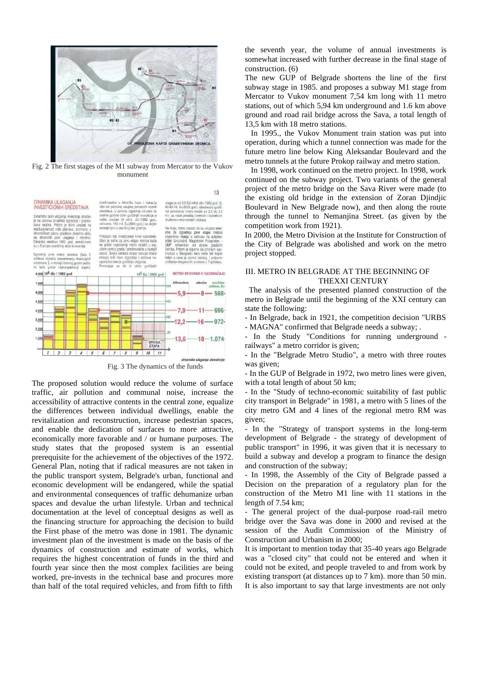

Fig. 2 The first stages of the M1 subway from Mercator to the Vukov monument

predinvestira u tehničku bazu i nabavlja<br>više od polovine ukupno potrebnih voznih<br>sredstava. U periodu izgradnje od pete do

ne obim godišnjih invest<br>an (4 mird. din./1982 rećan (4<br>. 115 mil.

#### DINAMIKA LILAGANJA **INVESTICIONIH SREDSTAVA**

namički plan ulaganja investicija<br>na osnovu dinamike izgradnje i p<br>na radova. Pritom je bitno ukaz<br>oduzavisnost ovih planova, promi<br>amičkom planu gradenja direktni<br>dinamički plan ulaganja i ot<br>u Euro po zvaničnoi stoni kon vaničnoj stopi ko erzije

tro deonic ra, tj. u trećoj i četvrtoj go se tada

za prvu e metro ob tru grada i p

sedme goo

sledeća etapa razvoja im Inje i zahteva ne godišnjih aganja od 2,5-3,0 mlrd. din./1982 god. (tj.<br>I-90 mll. Eu/2005 god.) obezbedio godiš<br>e povećanje metro mreže od 2,5 do 3,0<br>n. uz visok priraštaj direktnih i indirektnih

 $13$ 

treba ukazati da su ukupna sredizgradnju prve etape metroa<br>o manja u odnosu na automo-<br>utrašnji Magistralni Poluprsten<br>klamiran od strane gradskih istraini Poluprsten<br>d strane gradskih<br>mo da problem sao-UMP reklamiran or<br>Pritom je sigu nika Pri praćaja u Beogradu tako neće biti trajno ešen a ce a cena je, pored ostalog, i potr<br>nje dragocenih prostora u Topčio





The proposed solution would reduce the volume of surface traffic, air pollution and communal noise, increase the accessibility of attractive contents in the central zone, equalize the differences between individual dwellings, enable the revitalization and reconstruction, increase pedestrian spaces, and enable the dedication of surfaces to more attractive, economically more favorable and / or humane purposes. The study states that the proposed system is an essential prerequisite for the achievement of the objectives of the 1972. General Plan, noting that if radical measures are not taken in the public transport system, Belgrade's urban, functional and economic development will be endangered, while the spatial and environmental consequences of traffic dehumanize urban spaces and devalue the urban lifestyle. Urban and technical documentation at the level of conceptual designs as well as the financing structure for approaching the decision to build the First phase of the metro was done in 1981. The dynamic investment plan of the investment is made on the basis of the dynamics of construction and estimate of works, which requires the highest concentration of funds in the third and fourth year since then the most complex facilities are being worked, pre-invests in the technical base and procures more than half of the total required vehicles, and from fifth to fifth

the seventh year, the volume of annual investments is somewhat increased with further decrease in the final stage of construction. (6)

The new GUP of Belgrade shortens the line of the first subway stage in 1985. and proposes a subway M1 stage from Mercator to Vukov monument 7,54 km long with 11 metro stations, out of which 5,94 km underground and 1.6 km above ground and road rail bridge across the Sava, a total length of 13,5 km with 18 metro stations.

In 1995., the Vukov Monument train station was put into operation, during which a tunnel connection was made for the future metro line below King Aleksandar Boulevard and the metro tunnels at the future Prokop railway and metro station.

In 1998, work continued on the metro project. In 1998, work continued on the subway project. Two variants of the general project of the metro bridge on the Sava River were made (to the existing old bridge in the extension of Zoran Djindjic Boulevard in New Belgrade now), and then along the route through the tunnel to Nemanjina Street. (as given by the competition work from 1921).

In 2000, the Metro Division at the Institute for Construction of the City of Belgrade was abolished and work on the metro project stopped.

# III. METRO IN BELGRADE AT THE BEGINNING OF THEXXI CENTURY

The analysis of the presented planned construction of the metro in Belgrade until the beginning of the XXI century can state the following:

- In Belgrade, back in 1921, the competition decision "URBS - MAGNA" confirmed that Belgrade needs a subway; .

- In the Study "Conditions for running underground railways" a metro corridor is given;

- In the "Belgrade Metro Studio", a metro with three routes was given;

- In the GUP of Belgrade in 1972, two metro lines were given, with a total length of about 50 km;

- In the "Study of techno-economic suitability of fast public city transport in Belgrade" in 1981, a metro with 5 lines of the city metro GM and 4 lines of the regional metro RM was given;

- In the "Strategy of transport systems in the long-term development of Belgrade - the strategy of development of public transport" in 1996, it was given that it is necessary to build a subway and develop a program to finance the design and construction of the subway;

- In 1998, the Assembly of the City of Belgrade passed a Decision on the preparation of a regulatory plan for the construction of the Metro M1 line with 11 stations in the length of 7.54 km;

- The general project of the dual-purpose road-rail metro bridge over the Sava was done in 2000 and revised at the session of the Audit Commission of the Ministry of Construction and Urbanism in 2000;

It is important to mention today that 35-40 years ago Belgrade was a "closed city" that could not be entered and when it could not be exited, and people traveled to and from work by existing transport (at distances up to 7 km). more than 50 min. It is also important to say that large investments are not only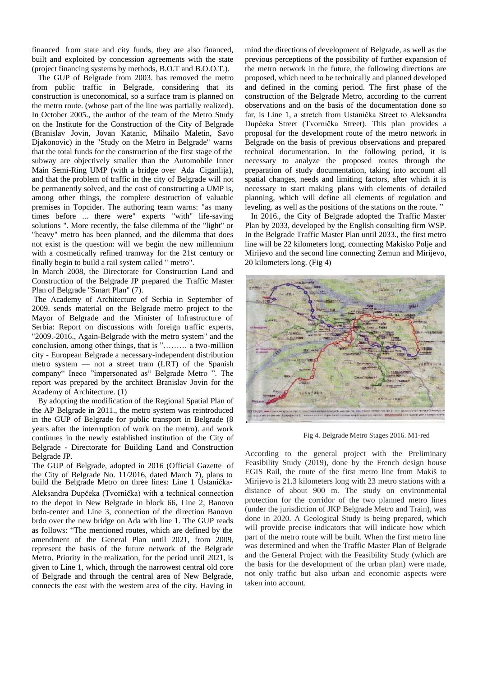financed from state and city funds, they are also financed, built and exploited by concession agreements with the state (project financing systems by methods, B.O.T and B.O.O.T.).

The GUP of Belgrade from 2003. has removed the metro from public traffic in Belgrade, considering that its construction is uneconomical, so a surface tram is planned on the metro route. (whose part of the line was partially realized). In October 2005., the author of the team of the Metro Study on the Institute for the Construction of the City of Belgrade (Branislav Jovin, Jovan Katanic, Mihailo Maletin, Savo Djakonovic) in the "Study on the Metro in Belgrade" warns that the total funds for the construction of the first stage of the technical documentation. In the following period, it is subway are objectively smaller than the Automobile Inner necessary to analyze the proposed routes through the Main Semi-Ring UMP (with a bridge over Ada Ciganlija), and that the problem of traffic in the city of Belgrade will not be permanently solved, and the cost of constructing a UMP is, among other things, the complete destruction of valuable premises in Topcider. The authoring team warns: "as many times before ... there were" experts "with" life-saving In 2016., the City of Belgrade adopted the Traffic Master solutions ". More recently, the false dilemma of the "light" or "heavy" metro has been planned, and the dilemma that does not exist is the question: will we begin the new millennium with a cosmetically refined tramway for the 21st century or finally begin to build a rail system called " metro".

In March 2008, the Directorate for Construction Land and Construction of the Belgrade JP prepared the Traffic Master Plan of Belgrade "Smart Plan" (7).

The Academy of Architecture of Serbia in September of 2009. sends material on the Belgrade metro project to the Mayor of Belgrade and the Minister of Infrastructure of Serbia: Report on discussions with foreign traffic experts, "2009.-2016., Again-Belgrade with the metro system" and the conclusion, among other things, that is "……… a two-million city - European Belgrade a necessary-independent distribution metro system — not a street tram (LRT) of the Spanish company" Ineco "impersonated as" Belgrade Metro ". The report was prepared by the architect Branislav Jovin for the Academy of Architecture. (1)

By adopting the modification of the Regional Spatial Plan of the AP Belgrade in 2011., the metro system was reintroduced in the GUP of Belgrade for public transport in Belgrade (8 years after the interruption of work on the metro). and work continues in the newly established institution of the City of Belgrade - Directorate for Building Land and Construction Belgrade JP.

The GUP of Belgrade, adopted in 2016 (Official Gazette of the City of Belgrade No. 11/2016, dated March 7), plans to build the Belgrade Metro on three lines: Line 1 Ustanička-Aleksandra Dupčeka (Tvornička) with a technical connection to the depot in New Belgrade in block 66, Line 2, Banovo brdo-center and Line 3, connection of the direction Banovo brdo over the new bridge on Ada with line 1. The GUP reads as follows: "The mentioned routes, which are defined by the amendment of the General Plan until 2021, from 2009, represent the basis of the future network of the Belgrade Metro. Priority in the realization, for the period until 2021, is given to Line 1, which, through the narrowest central old core of Belgrade and through the central area of New Belgrade, connects the east with the western area of the city. Having in

mind the directions of development of Belgrade, as well as the previous perceptions of the possibility of further expansion of the metro network in the future, the following directions are proposed, which need to be technically and planned developed and defined in the coming period. The first phase of the construction of the Belgrade Metro, according to the current observations and on the basis of the documentation done so far, is Line 1, a stretch from Ustanička Street to Aleksandra Dupčeka Street (Tvornička Street). This plan provides a proposal for the development route of the metro network in Belgrade on the basis of previous observations and prepared preparation of study documentation, taking into account all spatial changes, needs and limiting factors, after which it is necessary to start making plans with elements of detailed planning, which will define all elements of regulation and leveling. as well as the positions of the stations on the route. "

Plan by 2033, developed by the English consulting firm WSP. In the Belgrade Traffic Master Plan until 2033., the first metro line will be 22 kilometers long, connecting Makisko Polje and Mirijevo and the second line connecting Zemun and Mirijevo, 20 kilometers long. (Fig 4)



Fig 4. Belgrade Metro Stages 2016. M1-red

According to the general project with the Preliminary Feasibility Study (2019), done by the French design house EGIS Rail, the route of the first metro line from Makiš to Mirijevo is 21.3 kilometers long with 23 metro stations with a distance of about 900 m. The study on environmental protection for the corridor of the two planned metro lines (under the jurisdiction of JKP Belgrade Metro and Train), was done in 2020. A Geological Study is being prepared, which will provide precise indicators that will indicate how which part of the metro route will be built. When the first metro line was determined and when the Traffic Master Plan of Belgrade and the General Project with the Feasibility Study (which are the basis for the development of the urban plan) were made, not only traffic but also urban and economic aspects were taken into account.